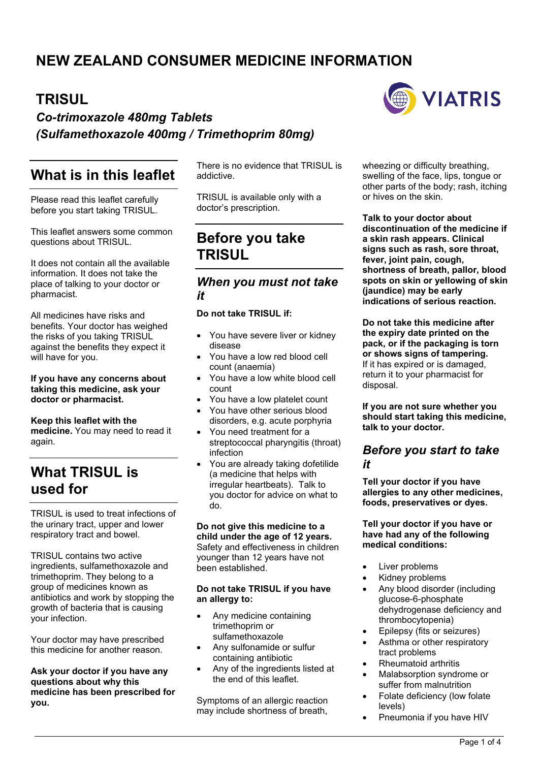# **NEW ZEALAND CONSUMER MEDICINE INFORMATION**

## **TRISUL**

*Co-trimoxazole 480mg Tablets (Sulfamethoxazole 400mg / Trimethoprim 80mg)*

## **What is in this leaflet**

Please read this leaflet carefully before you start taking TRISUL.

This leaflet answers some common questions about TRISUL.

It does not contain all the available information. It does not take the place of talking to your doctor or pharmacist.

All medicines have risks and benefits. Your doctor has weighed the risks of you taking TRISUL against the benefits they expect it will have for you.

#### **If you have any concerns about taking this medicine, ask your doctor or pharmacist.**

**Keep this leaflet with the medicine.** You may need to read it again.

# **What TRISUL is used for**

TRISUL is used to treat infections of the urinary tract, upper and lower respiratory tract and bowel.

TRISUL contains two active ingredients, sulfamethoxazole and trimethoprim. They belong to a group of medicines known as antibiotics and work by stopping the growth of bacteria that is causing your infection.

Your doctor may have prescribed this medicine for another reason.

**Ask your doctor if you have any questions about why this medicine has been prescribed for you.**

There is no evidence that TRISUL is addictive.

TRISUL is available only with a doctor's prescription.

## **Before you take TRISUL**

### *When you must not take it*

#### **Do not take TRISUL if:**

- You have severe liver or kidney disease
- You have a low red blood cell count (anaemia)
- You have a low white blood cell count
- You have a low platelet count
- You have other serious blood disorders, e.g. acute porphyria
- You need treatment for a streptococcal pharyngitis (throat) infection
- You are already taking dofetilide (a medicine that helps with irregular heartbeats). Talk to you doctor for advice on what to do.

**Do not give this medicine to a child under the age of 12 years.**  Safety and effectiveness in children younger than 12 years have not been established.

#### **Do not take TRISUL if you have an allergy to:**

- Any medicine containing trimethoprim or sulfamethoxazole
- Any sulfonamide or sulfur containing antibiotic
- Any of the ingredients listed at the end of this leaflet.

Symptoms of an allergic reaction may include shortness of breath,



wheezing or difficulty breathing, swelling of the face, lips, tongue or other parts of the body; rash, itching or hives on the skin.

**Talk to your doctor about discontinuation of the medicine if a skin rash appears. Clinical signs such as rash, sore throat, fever, joint pain, cough, shortness of breath, pallor, blood spots on skin or yellowing of skin (jaundice) may be early indications of serious reaction.**

**Do not take this medicine after the expiry date printed on the pack, or if the packaging is torn or shows signs of tampering.** If it has expired or is damaged, return it to your pharmacist for disposal.

**If you are not sure whether you should start taking this medicine, talk to your doctor.**

### *Before you start to take it*

**Tell your doctor if you have allergies to any other medicines, foods, preservatives or dyes.**

#### **Tell your doctor if you have or have had any of the following medical conditions:**

- Liver problems
- Kidney problems
- Any blood disorder (including glucose-6-phosphate dehydrogenase deficiency and thrombocytopenia)
- Epilepsy (fits or seizures)
- Asthma or other respiratory tract problems
- Rheumatoid arthritis
- Malabsorption syndrome or suffer from malnutrition
- Folate deficiency (low folate levels)
- Pneumonia if you have HIV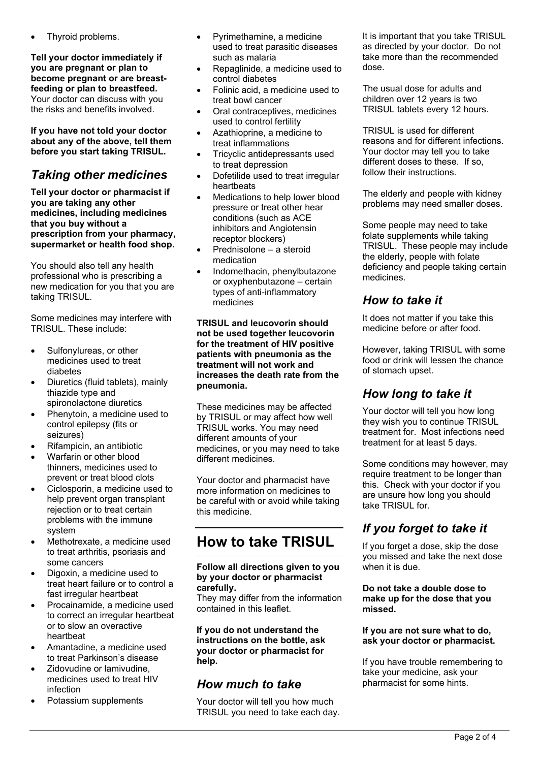Thyroid problems.

**Tell your doctor immediately if you are pregnant or plan to become pregnant or are breastfeeding or plan to breastfeed.**  Your doctor can discuss with you the risks and benefits involved.

**If you have not told your doctor about any of the above, tell them before you start taking TRISUL.**

### *Taking other medicines*

**Tell your doctor or pharmacist if you are taking any other medicines, including medicines that you buy without a prescription from your pharmacy, supermarket or health food shop.**

You should also tell any health professional who is prescribing a new medication for you that you are taking TRISUL.

Some medicines may interfere with TRISUL. These include:

- Sulfonylureas, or other medicines used to treat diabetes
- Diuretics (fluid tablets), mainly thiazide type and spironolactone diuretics
- Phenytoin, a medicine used to control epilepsy (fits or seizures)
- Rifampicin, an antibiotic
- Warfarin or other blood thinners, medicines used to prevent or treat blood clots
- Ciclosporin, a medicine used to help prevent organ transplant rejection or to treat certain problems with the immune system
- Methotrexate, a medicine used to treat arthritis, psoriasis and some cancers
- Digoxin, a medicine used to treat heart failure or to control a fast irregular heartbeat
- Procainamide, a medicine used to correct an irregular heartbeat or to slow an overactive heartbeat
- Amantadine, a medicine used to treat Parkinson's disease
- Zidovudine or lamivudine, medicines used to treat HIV infection
- Potassium supplements
- Pyrimethamine, a medicine used to treat parasitic diseases such as malaria
- Repaglinide, a medicine used to control diabetes
- Folinic acid, a medicine used to treat bowl cancer
- Oral contraceptives, medicines used to control fertility
- Azathioprine, a medicine to treat inflammations
- Tricyclic antidepressants used to treat depression
- Dofetilide used to treat irregular heartbeats
- Medications to help lower blood pressure or treat other hear conditions (such as ACE inhibitors and Angiotensin receptor blockers)
- Prednisolone a steroid medication
- Indomethacin, phenylbutazone or oxyphenbutazone – certain types of anti-inflammatory medicines

**TRISUL and leucovorin should not be used together leucovorin for the treatment of HIV positive patients with pneumonia as the treatment will not work and increases the death rate from the pneumonia.**

These medicines may be affected by TRISUL or may affect how well TRISUL works. You may need different amounts of your medicines, or you may need to take different medicines.

Your doctor and pharmacist have more information on medicines to be careful with or avoid while taking this medicine.

# **How to take TRISUL**

#### **Follow all directions given to you by your doctor or pharmacist carefully.**

They may differ from the information contained in this leaflet.

**If you do not understand the instructions on the bottle, ask your doctor or pharmacist for help.**

### *How much to take*

Your doctor will tell you how much TRISUL you need to take each day. It is important that you take TRISUL as directed by your doctor. Do not take more than the recommended dose.

The usual dose for adults and children over 12 years is two TRISUL tablets every 12 hours.

TRISUL is used for different reasons and for different infections. Your doctor may tell you to take different doses to these. If so, follow their instructions.

The elderly and people with kidney problems may need smaller doses.

Some people may need to take folate supplements while taking TRISUL. These people may include the elderly, people with folate deficiency and people taking certain medicines.

### *How to take it*

It does not matter if you take this medicine before or after food.

However, taking TRISUL with some food or drink will lessen the chance of stomach upset.

### *How long to take it*

Your doctor will tell you how long they wish you to continue TRISUL treatment for. Most infections need treatment for at least 5 days.

Some conditions may however, may require treatment to be longer than this. Check with your doctor if you are unsure how long you should take TRISUL for.

## *If you forget to take it*

If you forget a dose, skip the dose you missed and take the next dose when it is due.

#### **Do not take a double dose to make up for the dose that you missed.**

#### **If you are not sure what to do, ask your doctor or pharmacist.**

If you have trouble remembering to take your medicine, ask your pharmacist for some hints.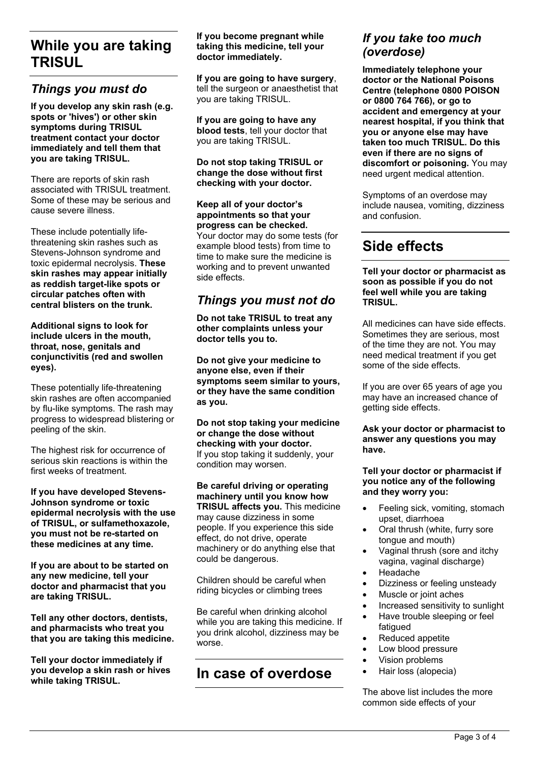## **While you are taking TRISUL**

### *Things you must do*

**If you develop any skin rash (e.g. spots or 'hives') or other skin symptoms during TRISUL treatment contact your doctor immediately and tell them that you are taking TRISUL.**

There are reports of skin rash associated with TRISUL treatment. Some of these may be serious and cause severe illness.

These include potentially lifethreatening skin rashes such as Stevens-Johnson syndrome and toxic epidermal necrolysis. **These skin rashes may appear initially as reddish target-like spots or circular patches often with central blisters on the trunk.** 

**Additional signs to look for include ulcers in the mouth, throat, nose, genitals and conjunctivitis (red and swollen eyes).** 

These potentially life-threatening skin rashes are often accompanied by flu-like symptoms. The rash may progress to widespread blistering or peeling of the skin.

The highest risk for occurrence of serious skin reactions is within the first weeks of treatment.

**If you have developed Stevens-Johnson syndrome or toxic epidermal necrolysis with the use of TRISUL, or sulfamethoxazole, you must not be re-started on these medicines at any time.**

**If you are about to be started on any new medicine, tell your doctor and pharmacist that you are taking TRISUL.**

**Tell any other doctors, dentists, and pharmacists who treat you that you are taking this medicine.**

**Tell your doctor immediately if you develop a skin rash or hives while taking TRISUL.**

**If you become pregnant while taking this medicine, tell your doctor immediately.**

**If you are going to have surgery**, tell the surgeon or anaesthetist that you are taking TRISUL.

**If you are going to have any blood tests**, tell your doctor that you are taking TRISUL.

**Do not stop taking TRISUL or change the dose without first checking with your doctor.**

**Keep all of your doctor's appointments so that your progress can be checked.** Your doctor may do some tests (for example blood tests) from time to time to make sure the medicine is working and to prevent unwanted side effects.

### *Things you must not do*

**Do not take TRISUL to treat any other complaints unless your doctor tells you to.**

**Do not give your medicine to anyone else, even if their symptoms seem similar to yours, or they have the same condition as you.**

**Do not stop taking your medicine or change the dose without checking with your doctor.** If you stop taking it suddenly, your condition may worsen.

**Be careful driving or operating machinery until you know how TRISUL affects you.** This medicine may cause dizziness in some people. If you experience this side effect, do not drive, operate machinery or do anything else that could be dangerous.

Children should be careful when riding bicycles or climbing trees

Be careful when drinking alcohol while you are taking this medicine. If you drink alcohol, dizziness may be worse.

## **In case of overdose**

### *If you take too much (overdose)*

**Immediately telephone your doctor or the National Poisons Centre (telephone 0800 POISON or 0800 764 766), or go to accident and emergency at your nearest hospital, if you think that you or anyone else may have taken too much TRISUL. Do this even if there are no signs of discomfort or poisoning.** You may need urgent medical attention.

Symptoms of an overdose may include nausea, vomiting, dizziness and confusion.

# **Side effects**

**Tell your doctor or pharmacist as soon as possible if you do not feel well while you are taking TRISUL.**

All medicines can have side effects. Sometimes they are serious, most of the time they are not. You may need medical treatment if you get some of the side effects.

If you are over 65 years of age you may have an increased chance of getting side effects.

**Ask your doctor or pharmacist to answer any questions you may have.**

#### **Tell your doctor or pharmacist if you notice any of the following and they worry you:**

- Feeling sick, vomiting, stomach upset, diarrhoea
- Oral thrush (white, furry sore tongue and mouth)
- Vaginal thrush (sore and itchy vagina, vaginal discharge)
- Headache
- Dizziness or feeling unsteady
- Muscle or joint aches
- Increased sensitivity to sunlight
- Have trouble sleeping or feel fatigued
- Reduced appetite
- Low blood pressure
- Vision problems
- Hair loss (alopecia)

The above list includes the more common side effects of your